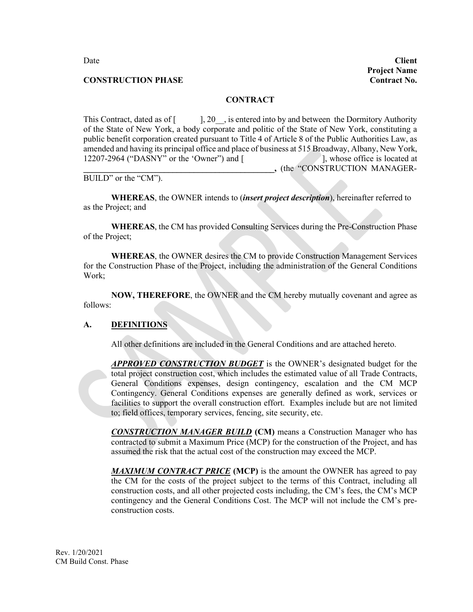Date **Client Project Name**

#### **CONSTRUCTION PHASE CONSTRUCTION PHASE**

#### **CONTRACT**

This Contract, dated as of [ ], 20\_\_, is entered into by and between the Dormitory Authority of the State of New York, a body corporate and politic of the State of New York, constituting a public benefit corporation created pursuant to Title 4 of Article 8 of the Public Authorities Law, as amended and having its principal office and place of business at 515 Broadway, Albany, New York,<br>12207-2964 ("DASNY" or the 'Owner") and [1], whose office is located at 12207-2964 ("DASNY" or the 'Owner") and  $\lceil$ **\_\_\_\_\_\_\_\_\_\_\_\_\_\_\_\_\_\_\_\_\_\_\_\_\_\_\_\_\_\_\_\_\_\_\_\_\_\_\_\_\_\_\_\_\_,** (the "CONSTRUCTION MANAGER-

BUILD" or the "CM").

**WHEREAS**, the OWNER intends to (*insert project description*), hereinafter referred to as the Project; and

**WHEREAS**, the CM has provided Consulting Services during the Pre-Construction Phase of the Project;

**WHEREAS**, the OWNER desires the CM to provide Construction Management Services for the Construction Phase of the Project, including the administration of the General Conditions Work;

**NOW, THEREFORE**, the OWNER and the CM hereby mutually covenant and agree as follows:

#### **A. DEFINITIONS**

All other definitions are included in the General Conditions and are attached hereto.

*APPROVED CONSTRUCTION BUDGET* is the OWNER's designated budget for the total project construction cost, which includes the estimated value of all Trade Contracts, General Conditions expenses, design contingency, escalation and the CM MCP Contingency. General Conditions expenses are generally defined as work, services or facilities to support the overall construction effort. Examples include but are not limited to; field offices, temporary services, fencing, site security, etc.

*CONSTRUCTION MANAGER BUILD* **(CM)** means a Construction Manager who has contracted to submit a Maximum Price (MCP) for the construction of the Project, and has assumed the risk that the actual cost of the construction may exceed the MCP.

**MAXIMUM CONTRACT PRICE** (MCP) is the amount the OWNER has agreed to pay the CM for the costs of the project subject to the terms of this Contract, including all construction costs, and all other projected costs including, the CM's fees, the CM's MCP contingency and the General Conditions Cost. The MCP will not include the CM's preconstruction costs.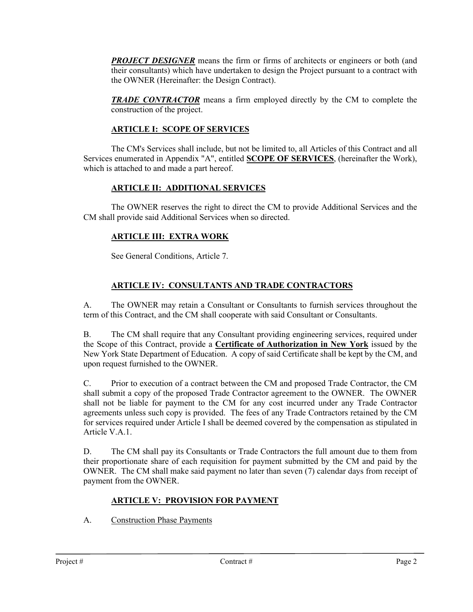**PROJECT DESIGNER** means the firm or firms of architects or engineers or both (and their consultants) which have undertaken to design the Project pursuant to a contract with the OWNER (Hereinafter: the Design Contract).

*TRADE CONTRACTOR* means a firm employed directly by the CM to complete the construction of the project.

# **ARTICLE I: SCOPE OF SERVICES**

The CM's Services shall include, but not be limited to, all Articles of this Contract and all Services enumerated in Appendix "A", entitled **SCOPE OF SERVICES**, (hereinafter the Work), which is attached to and made a part hereof.

## **ARTICLE II: ADDITIONAL SERVICES**

The OWNER reserves the right to direct the CM to provide Additional Services and the CM shall provide said Additional Services when so directed.

## **ARTICLE III: EXTRA WORK**

See General Conditions, Article 7.

## **ARTICLE IV: CONSULTANTS AND TRADE CONTRACTORS**

A. The OWNER may retain a Consultant or Consultants to furnish services throughout the term of this Contract, and the CM shall cooperate with said Consultant or Consultants.

B. The CM shall require that any Consultant providing engineering services, required under the Scope of this Contract, provide a **Certificate of Authorization in New York** issued by the New York State Department of Education. A copy of said Certificate shall be kept by the CM, and upon request furnished to the OWNER.

C. Prior to execution of a contract between the CM and proposed Trade Contractor, the CM shall submit a copy of the proposed Trade Contractor agreement to the OWNER. The OWNER shall not be liable for payment to the CM for any cost incurred under any Trade Contractor agreements unless such copy is provided. The fees of any Trade Contractors retained by the CM for services required under Article I shall be deemed covered by the compensation as stipulated in Article V.A.1.

D. The CM shall pay its Consultants or Trade Contractors the full amount due to them from their proportionate share of each requisition for payment submitted by the CM and paid by the OWNER. The CM shall make said payment no later than seven (7) calendar days from receipt of payment from the OWNER.

# **ARTICLE V: PROVISION FOR PAYMENT**

A. Construction Phase Payments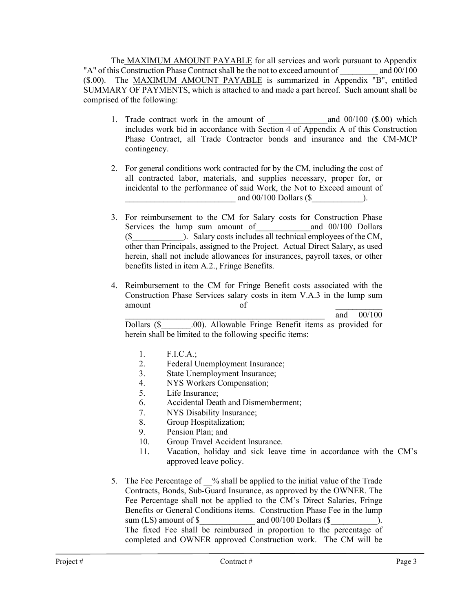The MAXIMUM AMOUNT PAYABLE for all services and work pursuant to Appendix "A" of this Construction Phase Contract shall be the not to exceed amount of and 00/100 (\$.00). The MAXIMUM AMOUNT PAYABLE is summarized in Appendix "B", entitled SUMMARY OF PAYMENTS, which is attached to and made a part hereof. Such amount shall be comprised of the following:

- 1. Trade contract work in the amount of and 00/100 (\$.00) which includes work bid in accordance with Section 4 of Appendix A of this Construction Phase Contract, all Trade Contractor bonds and insurance and the CM-MCP contingency.
- 2. For general conditions work contracted for by the CM, including the cost of all contracted labor, materials, and supplies necessary, proper for, or incidental to the performance of said Work, the Not to Exceed amount of and  $00/100$  Dollars (\$  $\qquad \qquad$  ).
- 3. For reimbursement to the CM for Salary costs for Construction Phase Services the lump sum amount of and 00/100 Dollars (\$\_\_\_\_\_\_\_\_\_\_\_\_). Salary costs includes all technical employees of the CM, other than Principals, assigned to the Project. Actual Direct Salary, as used herein, shall not include allowances for insurances, payroll taxes, or other benefits listed in item A.2., Fringe Benefits.
- 4. Reimbursement to the CM for Fringe Benefit costs associated with the Construction Phase Services salary costs in item V.A.3 in the lump sum amount of  $\overline{\phantom{a}}$

\_\_\_\_\_\_\_\_\_\_\_\_\_\_\_\_\_\_\_\_\_\_\_\_\_\_\_\_\_\_\_\_\_\_\_\_\_\_\_\_\_\_\_\_\_\_\_ and 00/100

Dollars (\$ .00). Allowable Fringe Benefit items as provided for herein shall be limited to the following specific items:

- 1. F.I.C.A.;
- 2. Federal Unemployment Insurance;
- 3. State Unemployment Insurance;
- 4. NYS Workers Compensation;
- 5. Life Insurance;
- 6. Accidental Death and Dismemberment;
- 7. NYS Disability Insurance;
- 8. Group Hospitalization;
- 9. Pension Plan; and
- 10. Group Travel Accident Insurance.
- 11. Vacation, holiday and sick leave time in accordance with the CM's approved leave policy.
- 5. The Fee Percentage of % shall be applied to the initial value of the Trade Contracts, Bonds, Sub-Guard Insurance, as approved by the OWNER. The Fee Percentage shall not be applied to the CM's Direct Salaries, Fringe Benefits or General Conditions items. Construction Phase Fee in the lump sum (LS) amount of  $\$\text{and }00/100 \text{ dollars} (\text{$\$})$ . The fixed Fee shall be reimbursed in proportion to the percentage of completed and OWNER approved Construction work. The CM will be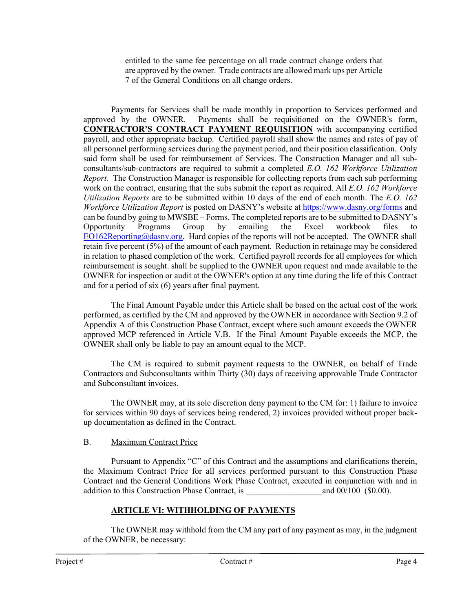entitled to the same fee percentage on all trade contract change orders that are approved by the owner. Trade contracts are allowed mark ups per Article 7 of the General Conditions on all change orders.

Payments for Services shall be made monthly in proportion to Services performed and approved by the OWNER. Payments shall be requisitioned on the OWNER's form, **CONTRACTOR'S CONTRACT PAYMENT REQUISITION** with accompanying certified payroll, and other appropriate backup. Certified payroll shall show the names and rates of pay of all personnel performing services during the payment period, and their position classification. Only said form shall be used for reimbursement of Services. The Construction Manager and all subconsultants/sub-contractors are required to submit a completed *E.O. 162 Workforce Utilization Report.* The Construction Manager is responsible for collecting reports from each sub performing work on the contract, ensuring that the subs submit the report as required. All *E.O. 162 Workforce Utilization Reports* are to be submitted within 10 days of the end of each month. The *E.O. 162 Workforce Utilization Report* is posted on DASNY's website at [https://www.dasny.org/forms](https://nam02.safelinks.protection.outlook.com/?url=https%3A%2F%2Fwww.dasny.org%2Fforms&data=04%7C01%7CKMallard%40dasny.org%7Cf58861aa5a2749ecdbf608d8ea3e5d4b%7C886b09f58d684ba88fafccc214b01239%7C0%7C0%7C637516900862077847%7CUnknown%7CTWFpbGZsb3d8eyJWIjoiMC4wLjAwMDAiLCJQIjoiV2luMzIiLCJBTiI6Ik1haWwiLCJXVCI6Mn0%3D%7C1000&sdata=b8B6VU%2F2JfStwmnlGicL7Rd1dTKt%2BnlIoahL9LeDMrY%3D&reserved=0) and can be found by going to MWSBE – Forms. The completed reports are to be submitted to DASNY's Opportunity Programs Group by emailing the Excel workbook files to [EO162Reporting@dasny.org.](mailto:EO162Reporting@dasny.org) Hard copies of the reports will not be accepted. The OWNER shall retain five percent (5%) of the amount of each payment. Reduction in retainage may be considered in relation to phased completion of the work. Certified payroll records for all employees for which reimbursement is sought. shall be supplied to the OWNER upon request and made available to the OWNER for inspection or audit at the OWNER's option at any time during the life of this Contract and for a period of six (6) years after final payment.

The Final Amount Payable under this Article shall be based on the actual cost of the work performed, as certified by the CM and approved by the OWNER in accordance with Section 9.2 of Appendix A of this Construction Phase Contract, except where such amount exceeds the OWNER approved MCP referenced in Article V.B. If the Final Amount Payable exceeds the MCP, the OWNER shall only be liable to pay an amount equal to the MCP.

The CM is required to submit payment requests to the OWNER, on behalf of Trade Contractors and Subconsultants within Thirty (30) days of receiving approvable Trade Contractor and Subconsultant invoices.

The OWNER may, at its sole discretion deny payment to the CM for: 1) failure to invoice for services within 90 days of services being rendered, 2) invoices provided without proper backup documentation as defined in the Contract.

## B. Maximum Contract Price

Pursuant to Appendix "C" of this Contract and the assumptions and clarifications therein, the Maximum Contract Price for all services performed pursuant to this Construction Phase Contract and the General Conditions Work Phase Contract, executed in conjunction with and in addition to this Construction Phase Contract, is  $\qquad \qquad \text{and } 00/100 \text{ (} $0.00).$ 

# **ARTICLE VI: WITHHOLDING OF PAYMENTS**

The OWNER may withhold from the CM any part of any payment as may, in the judgment of the OWNER, be necessary: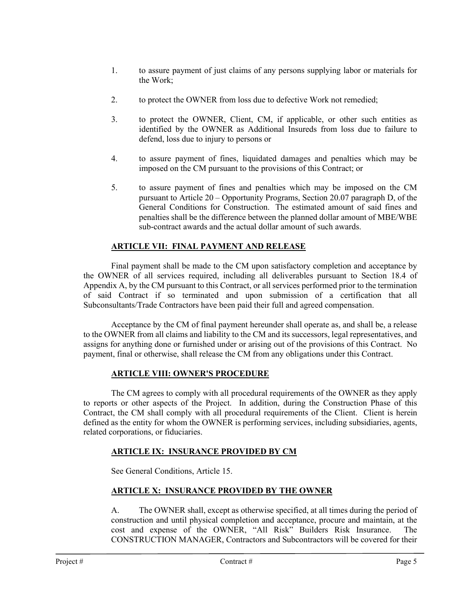- 1. to assure payment of just claims of any persons supplying labor or materials for the Work;
- 2. to protect the OWNER from loss due to defective Work not remedied;
- 3. to protect the OWNER, Client, CM, if applicable, or other such entities as identified by the OWNER as Additional Insureds from loss due to failure to defend, loss due to injury to persons or
- 4. to assure payment of fines, liquidated damages and penalties which may be imposed on the CM pursuant to the provisions of this Contract; or
- 5. to assure payment of fines and penalties which may be imposed on the CM pursuant to Article 20 – Opportunity Programs, Section 20.07 paragraph D, of the General Conditions for Construction. The estimated amount of said fines and penalties shall be the difference between the planned dollar amount of MBE/WBE sub-contract awards and the actual dollar amount of such awards.

## **ARTICLE VII: FINAL PAYMENT AND RELEASE**

Final payment shall be made to the CM upon satisfactory completion and acceptance by the OWNER of all services required, including all deliverables pursuant to Section 18.4 of Appendix A, by the CM pursuant to this Contract, or all services performed prior to the termination of said Contract if so terminated and upon submission of a certification that all Subconsultants/Trade Contractors have been paid their full and agreed compensation.

Acceptance by the CM of final payment hereunder shall operate as, and shall be, a release to the OWNER from all claims and liability to the CM and its successors, legal representatives, and assigns for anything done or furnished under or arising out of the provisions of this Contract. No payment, final or otherwise, shall release the CM from any obligations under this Contract.

## **ARTICLE VIII: OWNER'S PROCEDURE**

The CM agrees to comply with all procedural requirements of the OWNER as they apply to reports or other aspects of the Project. In addition, during the Construction Phase of this Contract, the CM shall comply with all procedural requirements of the Client. Client is herein defined as the entity for whom the OWNER is performing services, including subsidiaries, agents, related corporations, or fiduciaries.

## **ARTICLE IX: INSURANCE PROVIDED BY CM**

See General Conditions, Article 15.

## **ARTICLE X: INSURANCE PROVIDED BY THE OWNER**

A. The OWNER shall, except as otherwise specified, at all times during the period of construction and until physical completion and acceptance, procure and maintain, at the cost and expense of the OWNER, "All Risk" Builders Risk Insurance. The CONSTRUCTION MANAGER, Contractors and Subcontractors will be covered for their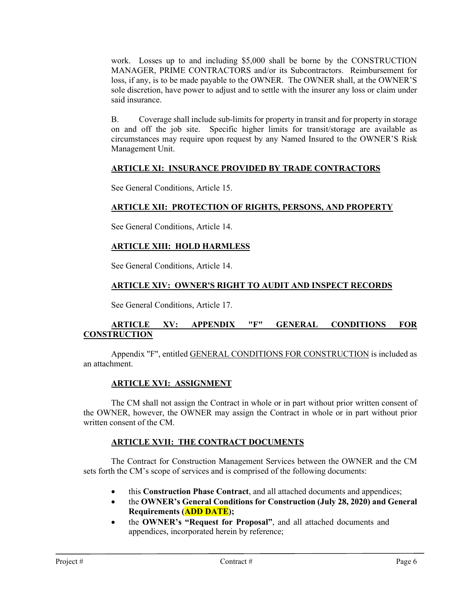work. Losses up to and including \$5,000 shall be borne by the CONSTRUCTION MANAGER, PRIME CONTRACTORS and/or its Subcontractors. Reimbursement for loss, if any, is to be made payable to the OWNER. The OWNER shall, at the OWNER'S sole discretion, have power to adjust and to settle with the insurer any loss or claim under said insurance.

B. Coverage shall include sub-limits for property in transit and for property in storage on and off the job site. Specific higher limits for transit/storage are available as circumstances may require upon request by any Named Insured to the OWNER'S Risk Management Unit.

# **ARTICLE XI: INSURANCE PROVIDED BY TRADE CONTRACTORS**

See General Conditions, Article 15.

## **ARTICLE XII: PROTECTION OF RIGHTS, PERSONS, AND PROPERTY**

See General Conditions, Article 14.

## **ARTICLE XIII: HOLD HARMLESS**

See General Conditions, Article 14.

## **ARTICLE XIV: OWNER'S RIGHT TO AUDIT AND INSPECT RECORDS**

See General Conditions, Article 17.

## **ARTICLE XV: APPENDIX "F" GENERAL CONDITIONS FOR CONSTRUCTION**

Appendix "F", entitled GENERAL CONDITIONS FOR CONSTRUCTION is included as an attachment.

## **ARTICLE XVI: ASSIGNMENT**

The CM shall not assign the Contract in whole or in part without prior written consent of the OWNER, however, the OWNER may assign the Contract in whole or in part without prior written consent of the CM.

## **ARTICLE XVII: THE CONTRACT DOCUMENTS**

The Contract for Construction Management Services between the OWNER and the CM sets forth the CM's scope of services and is comprised of the following documents:

- this **Construction Phase Contract**, and all attached documents and appendices;
- the **OWNER's General Conditions for Construction (July 28, 2020) and General Requirements (ADD DATE);**
- the **OWNER's "Request for Proposal"**, and all attached documents and appendices, incorporated herein by reference;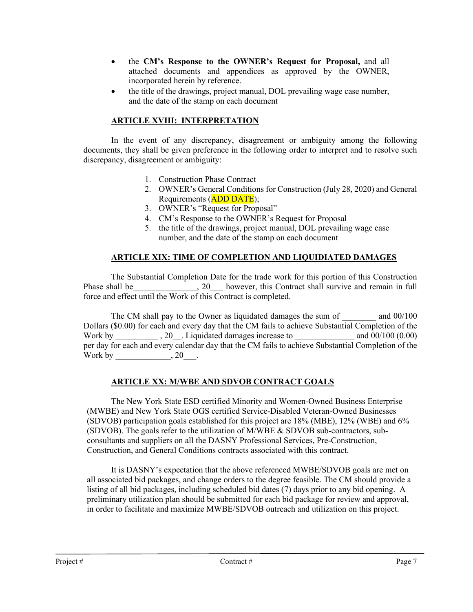- the **CM's Response to the OWNER's Request for Proposal,** and all attached documents and appendices as approved by the OWNER, incorporated herein by reference.
- the title of the drawings, project manual, DOL prevailing wage case number, and the date of the stamp on each document

## **ARTICLE XVIII: INTERPRETATION**

In the event of any discrepancy, disagreement or ambiguity among the following documents, they shall be given preference in the following order to interpret and to resolve such discrepancy, disagreement or ambiguity:

- 1. Construction Phase Contract
- 2. OWNER's General Conditions for Construction (July 28, 2020) and General Requirements (ADD DATE);
- 3. OWNER's "Request for Proposal"
- 4. CM's Response to the OWNER's Request for Proposal
- 5. the title of the drawings, project manual, DOL prevailing wage case number, and the date of the stamp on each document

## **ARTICLE XIX: TIME OF COMPLETION AND LIQUIDIATED DAMAGES**

The Substantial Completion Date for the trade work for this portion of this Construction Phase shall be  $\qquad \qquad , 20$  however, this Contract shall survive and remain in full force and effect until the Work of this Contract is completed.

The CM shall pay to the Owner as liquidated damages the sum of  $\qquad \qquad$  and 00/100 Dollars (\$0.00) for each and every day that the CM fails to achieve Substantial Completion of the Work by  $, 20$ . Liquidated damages increase to  $.00/100$   $(0.00)$ per day for each and every calendar day that the CM fails to achieve Substantial Completion of the Work by \_\_\_\_\_\_\_\_\_\_\_\_\_\_, 20\_\_\_.

## **ARTICLE XX: M/WBE AND SDVOB CONTRACT GOALS**

The New York State ESD certified Minority and Women-Owned Business Enterprise (MWBE) and New York State OGS certified Service-Disabled Veteran-Owned Businesses (SDVOB) participation goals established for this project are 18% (MBE), 12% (WBE) and 6% (SDVOB). The goals refer to the utilization of M/WBE & SDVOB sub-contractors, subconsultants and suppliers on all the DASNY Professional Services, Pre-Construction, Construction, and General Conditions contracts associated with this contract.

It is DASNY's expectation that the above referenced MWBE/SDVOB goals are met on all associated bid packages, and change orders to the degree feasible. The CM should provide a listing of all bid packages, including scheduled bid dates (7) days prior to any bid opening. A preliminary utilization plan should be submitted for each bid package for review and approval, in order to facilitate and maximize MWBE/SDVOB outreach and utilization on this project.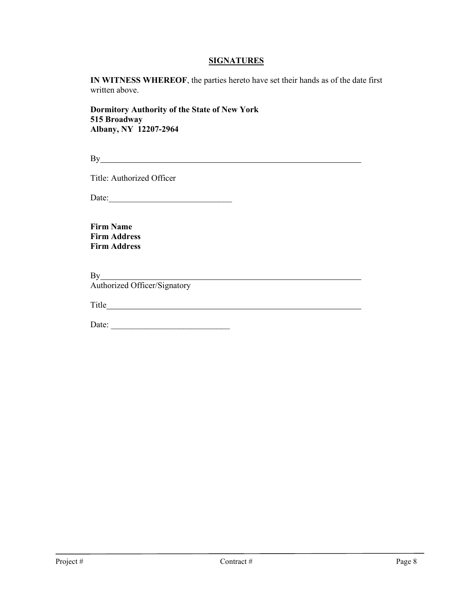#### **SIGNATURES**

**IN WITNESS WHEREOF**, the parties hereto have set their hands as of the date first written above.

**Dormitory Authority of the State of New York 515 Broadway Albany, NY 12207-2964**

By <u>such a set of the set of the set of the set of the set of the set of the set of the set of the set of the set of the set of the set of the set of the set of the set of the set of the set of the set of the set of the se</u>

Title: Authorized Officer

Date:\_\_\_\_\_\_\_\_\_\_\_\_\_\_\_\_\_\_\_\_\_\_\_\_\_\_\_\_\_

**Firm Name Firm Address Firm Address**

By <u>successive and the set of the set of the set of the set of the set of the set of the set of the set of the set of the set of the set of the set of the set of the set of the set of the set of the set of the set of the s</u>

Authorized Officer/Signatory

Title

Date: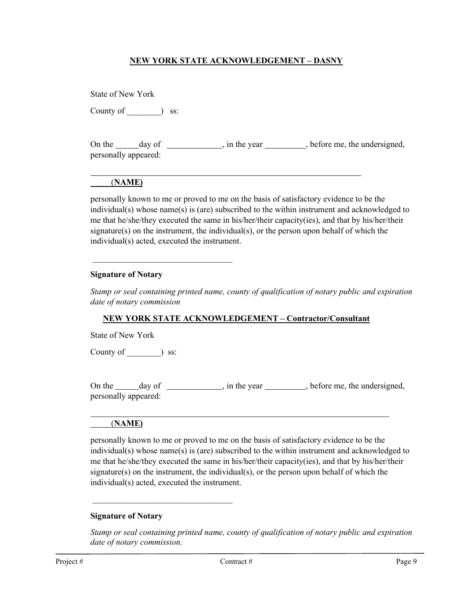### **NEW YORK STATE ACKNOWLEDGEMENT – DASNY**

| State of New York    |               |                                                           |
|----------------------|---------------|-----------------------------------------------------------|
| County of            | SS:           |                                                           |
| personally appeared: | On the day of | $\Box$ , in the year $\Box$ , before me, the undersigned, |

## (**NAME)**

personally known to me or proved to me on the basis of satisfactory evidence to be the individual(s) whose name(s) is (are) subscribed to the within instrument and acknowledged to me that he/she/they executed the same in his/her/their capacity(ies), and that by his/her/their signature(s) on the instrument, the individual(s), or the person upon behalf of which the individual(s) acted, executed the instrument.

#### **Signature of Notary**

\_\_\_\_\_\_\_\_\_\_\_\_\_\_\_\_\_\_\_\_\_\_\_\_\_\_\_\_\_\_\_\_\_

*Stamp or seal containing printed name, county of qualification of notary public and expiration date of notary commission*

#### **NEW YORK STATE ACKNOWLEDGEMENT – Contractor/Consultant**

State of New York

County of  $\qquad$  ) ss:

On the <u>day of contract of the year</u>, in the year state of the undersigned, personally appeared:

#### (**NAME)**

 $\overline{a}$ 

personally known to me or proved to me on the basis of satisfactory evidence to be the individual(s) whose name(s) is (are) subscribed to the within instrument and acknowledged to me that he/she/they executed the same in his/her/their capacity(ies), and that by his/her/their signature(s) on the instrument, the individual(s), or the person upon behalf of which the individual(s) acted, executed the instrument.

#### **Signature of Notary**

\_\_\_\_\_\_\_\_\_\_\_\_\_\_\_\_\_\_\_\_\_\_\_\_\_\_\_\_\_\_\_\_\_

*Stamp or seal containing printed name, county of qualification of notary public and expiration date of notary commission.*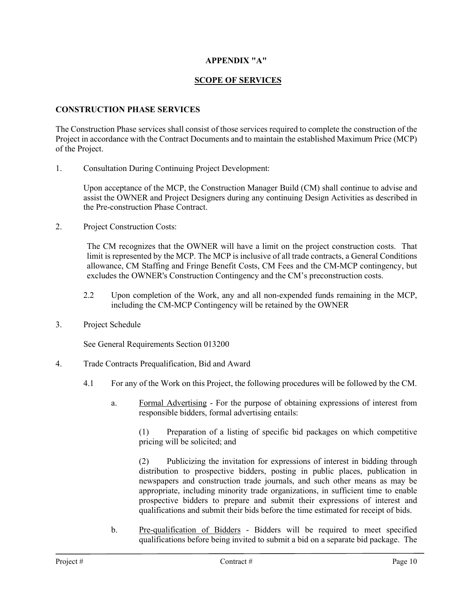## **APPENDIX "A"**

### **SCOPE OF SERVICES**

#### **CONSTRUCTION PHASE SERVICES**

The Construction Phase services shall consist of those services required to complete the construction of the Project in accordance with the Contract Documents and to maintain the established Maximum Price (MCP) of the Project.

1. Consultation During Continuing Project Development:

Upon acceptance of the MCP, the Construction Manager Build (CM) shall continue to advise and assist the OWNER and Project Designers during any continuing Design Activities as described in the Pre-construction Phase Contract.

2. Project Construction Costs:

The CM recognizes that the OWNER will have a limit on the project construction costs. That limit is represented by the MCP. The MCP is inclusive of all trade contracts, a General Conditions allowance, CM Staffing and Fringe Benefit Costs, CM Fees and the CM-MCP contingency, but excludes the OWNER's Construction Contingency and the CM's preconstruction costs.

- 2.2 Upon completion of the Work, any and all non-expended funds remaining in the MCP, including the CM-MCP Contingency will be retained by the OWNER
- 3. Project Schedule

See General Requirements Section 013200

- 4. Trade Contracts Prequalification, Bid and Award
	- 4.1 For any of the Work on this Project, the following procedures will be followed by the CM.
		- a. Formal Advertising For the purpose of obtaining expressions of interest from responsible bidders, formal advertising entails:

(1) Preparation of a listing of specific bid packages on which competitive pricing will be solicited; and

(2) Publicizing the invitation for expressions of interest in bidding through distribution to prospective bidders, posting in public places, publication in newspapers and construction trade journals, and such other means as may be appropriate, including minority trade organizations, in sufficient time to enable prospective bidders to prepare and submit their expressions of interest and qualifications and submit their bids before the time estimated for receipt of bids.

b. Pre-qualification of Bidders - Bidders will be required to meet specified qualifications before being invited to submit a bid on a separate bid package. The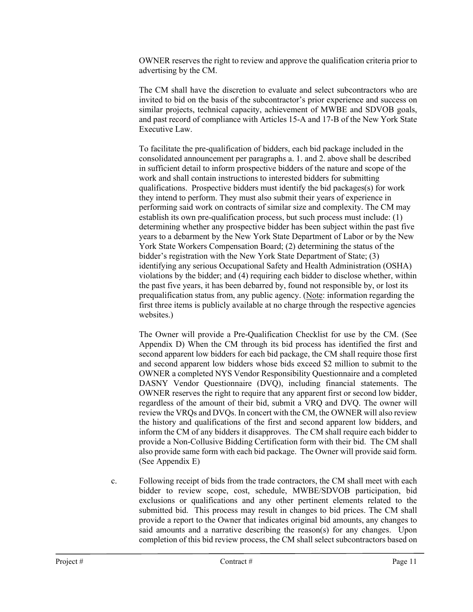OWNER reserves the right to review and approve the qualification criteria prior to advertising by the CM.

The CM shall have the discretion to evaluate and select subcontractors who are invited to bid on the basis of the subcontractor's prior experience and success on similar projects, technical capacity, achievement of MWBE and SDVOB goals, and past record of compliance with Articles 15-A and 17-B of the New York State Executive Law.

To facilitate the pre-qualification of bidders, each bid package included in the consolidated announcement per paragraphs a. 1. and 2. above shall be described in sufficient detail to inform prospective bidders of the nature and scope of the work and shall contain instructions to interested bidders for submitting qualifications. Prospective bidders must identify the bid packages(s) for work they intend to perform. They must also submit their years of experience in performing said work on contracts of similar size and complexity. The CM may establish its own pre-qualification process, but such process must include: (1) determining whether any prospective bidder has been subject within the past five years to a debarment by the New York State Department of Labor or by the New York State Workers Compensation Board; (2) determining the status of the bidder's registration with the New York State Department of State; (3) identifying any serious Occupational Safety and Health Administration (OSHA) violations by the bidder; and (4) requiring each bidder to disclose whether, within the past five years, it has been debarred by, found not responsible by, or lost its prequalification status from, any public agency. (Note: information regarding the first three items is publicly available at no charge through the respective agencies websites.)

The Owner will provide a Pre-Qualification Checklist for use by the CM. (See Appendix D) When the CM through its bid process has identified the first and second apparent low bidders for each bid package, the CM shall require those first and second apparent low bidders whose bids exceed \$2 million to submit to the OWNER a completed NYS Vendor Responsibility Questionnaire and a completed DASNY Vendor Questionnaire (DVQ), including financial statements. The OWNER reserves the right to require that any apparent first or second low bidder, regardless of the amount of their bid, submit a VRQ and DVQ. The owner will review the VRQs and DVQs. In concert with the CM, the OWNER will also review the history and qualifications of the first and second apparent low bidders, and inform the CM of any bidders it disapproves. The CM shall require each bidder to provide a Non-Collusive Bidding Certification form with their bid. The CM shall also provide same form with each bid package. The Owner will provide said form. (See Appendix E)

c. Following receipt of bids from the trade contractors, the CM shall meet with each bidder to review scope, cost, schedule, MWBE/SDVOB participation, bid exclusions or qualifications and any other pertinent elements related to the submitted bid. This process may result in changes to bid prices. The CM shall provide a report to the Owner that indicates original bid amounts, any changes to said amounts and a narrative describing the reason(s) for any changes. Upon completion of this bid review process, the CM shall select subcontractors based on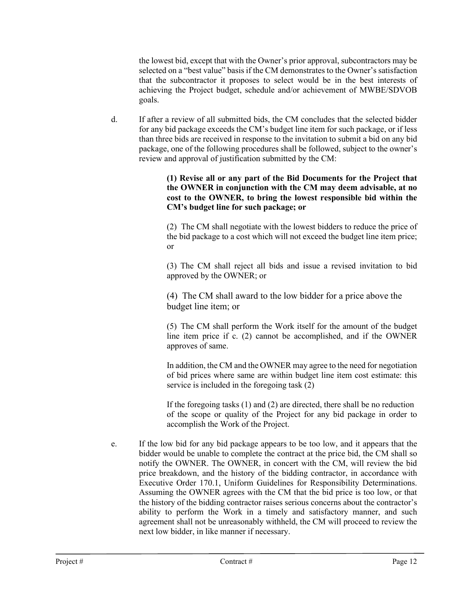the lowest bid, except that with the Owner's prior approval, subcontractors may be selected on a "best value" basis if the CM demonstrates to the Owner's satisfaction that the subcontractor it proposes to select would be in the best interests of achieving the Project budget, schedule and/or achievement of MWBE/SDVOB goals.

d. If after a review of all submitted bids, the CM concludes that the selected bidder for any bid package exceeds the CM's budget line item for such package, or if less than three bids are received in response to the invitation to submit a bid on any bid package, one of the following procedures shall be followed, subject to the owner's review and approval of justification submitted by the CM:

> **(1) Revise all or any part of the Bid Documents for the Project that the OWNER in conjunction with the CM may deem advisable, at no cost to the OWNER, to bring the lowest responsible bid within the CM's budget line for such package; or**

> (2) The CM shall negotiate with the lowest bidders to reduce the price of the bid package to a cost which will not exceed the budget line item price; or

> (3) The CM shall reject all bids and issue a revised invitation to bid approved by the OWNER; or

(4) The CM shall award to the low bidder for a price above the budget line item; or

(5) The CM shall perform the Work itself for the amount of the budget line item price if c. (2) cannot be accomplished, and if the OWNER approves of same.

In addition, the CM and the OWNER may agree to the need for negotiation of bid prices where same are within budget line item cost estimate: this service is included in the foregoing task (2)

If the foregoing tasks (1) and (2) are directed, there shall be no reduction of the scope or quality of the Project for any bid package in order to accomplish the Work of the Project.

e. If the low bid for any bid package appears to be too low, and it appears that the bidder would be unable to complete the contract at the price bid, the CM shall so notify the OWNER. The OWNER, in concert with the CM, will review the bid price breakdown, and the history of the bidding contractor, in accordance with Executive Order 170.1, Uniform Guidelines for Responsibility Determinations. Assuming the OWNER agrees with the CM that the bid price is too low, or that the history of the bidding contractor raises serious concerns about the contractor's ability to perform the Work in a timely and satisfactory manner, and such agreement shall not be unreasonably withheld, the CM will proceed to review the next low bidder, in like manner if necessary.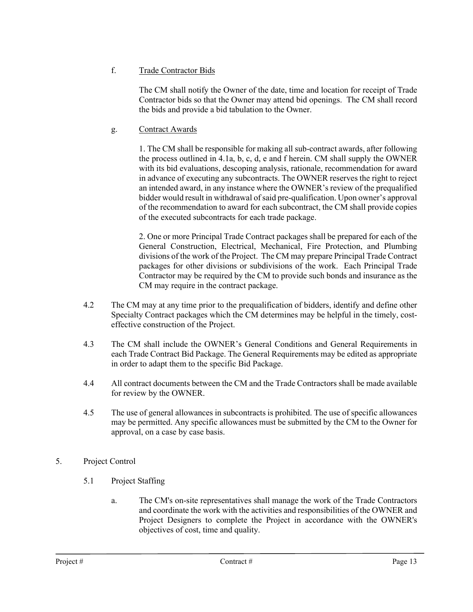# f. Trade Contractor Bids

The CM shall notify the Owner of the date, time and location for receipt of Trade Contractor bids so that the Owner may attend bid openings. The CM shall record the bids and provide a bid tabulation to the Owner.

# g. Contract Awards

1. The CM shall be responsible for making all sub-contract awards, after following the process outlined in 4.1a, b, c, d, e and f herein. CM shall supply the OWNER with its bid evaluations, descoping analysis, rationale, recommendation for award in advance of executing any subcontracts. The OWNER reserves the right to reject an intended award, in any instance where the OWNER's review of the prequalified bidder would result in withdrawal of said pre-qualification. Upon owner's approval of the recommendation to award for each subcontract, the CM shall provide copies of the executed subcontracts for each trade package.

2. One or more Principal Trade Contract packages shall be prepared for each of the General Construction, Electrical, Mechanical, Fire Protection, and Plumbing divisions of the work of the Project. The CM may prepare Principal Trade Contract packages for other divisions or subdivisions of the work. Each Principal Trade Contractor may be required by the CM to provide such bonds and insurance as the CM may require in the contract package.

- 4.2 The CM may at any time prior to the prequalification of bidders, identify and define other Specialty Contract packages which the CM determines may be helpful in the timely, costeffective construction of the Project.
- 4.3 The CM shall include the OWNER's General Conditions and General Requirements in each Trade Contract Bid Package. The General Requirements may be edited as appropriate in order to adapt them to the specific Bid Package.
- 4.4 All contract documents between the CM and the Trade Contractors shall be made available for review by the OWNER.
- 4.5 The use of general allowances in subcontracts is prohibited. The use of specific allowances may be permitted. Any specific allowances must be submitted by the CM to the Owner for approval, on a case by case basis.

# 5. Project Control

- 5.1 Project Staffing
	- a. The CM's on-site representatives shall manage the work of the Trade Contractors and coordinate the work with the activities and responsibilities of the OWNER and Project Designers to complete the Project in accordance with the OWNER's objectives of cost, time and quality.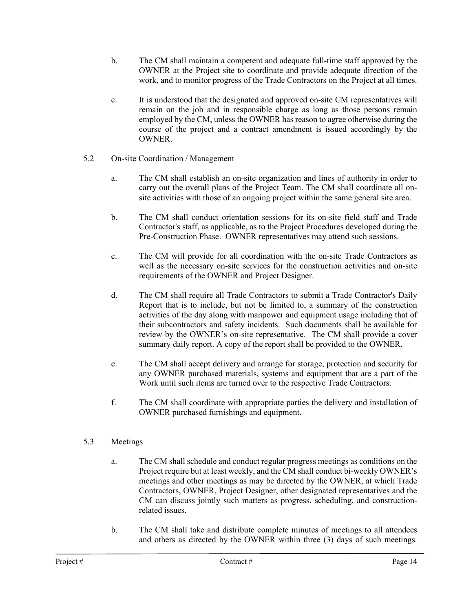- b. The CM shall maintain a competent and adequate full-time staff approved by the OWNER at the Project site to coordinate and provide adequate direction of the work, and to monitor progress of the Trade Contractors on the Project at all times.
- c. It is understood that the designated and approved on-site CM representatives will remain on the job and in responsible charge as long as those persons remain employed by the CM, unless the OWNER has reason to agree otherwise during the course of the project and a contract amendment is issued accordingly by the OWNER.
- 5.2 On-site Coordination / Management
	- a. The CM shall establish an on-site organization and lines of authority in order to carry out the overall plans of the Project Team. The CM shall coordinate all onsite activities with those of an ongoing project within the same general site area.
	- b. The CM shall conduct orientation sessions for its on-site field staff and Trade Contractor's staff, as applicable, as to the Project Procedures developed during the Pre-Construction Phase. OWNER representatives may attend such sessions.
	- c. The CM will provide for all coordination with the on-site Trade Contractors as well as the necessary on-site services for the construction activities and on-site requirements of the OWNER and Project Designer.
	- d. The CM shall require all Trade Contractors to submit a Trade Contractor's Daily Report that is to include, but not be limited to, a summary of the construction activities of the day along with manpower and equipment usage including that of their subcontractors and safety incidents. Such documents shall be available for review by the OWNER's on-site representative. The CM shall provide a cover summary daily report. A copy of the report shall be provided to the OWNER.
	- e. The CM shall accept delivery and arrange for storage, protection and security for any OWNER purchased materials, systems and equipment that are a part of the Work until such items are turned over to the respective Trade Contractors.
	- f. The CM shall coordinate with appropriate parties the delivery and installation of OWNER purchased furnishings and equipment.

# 5.3 Meetings

- a. The CM shall schedule and conduct regular progress meetings as conditions on the Project require but at least weekly, and the CM shall conduct bi-weekly OWNER's meetings and other meetings as may be directed by the OWNER, at which Trade Contractors, OWNER, Project Designer, other designated representatives and the CM can discuss jointly such matters as progress, scheduling, and constructionrelated issues.
- b. The CM shall take and distribute complete minutes of meetings to all attendees and others as directed by the OWNER within three (3) days of such meetings.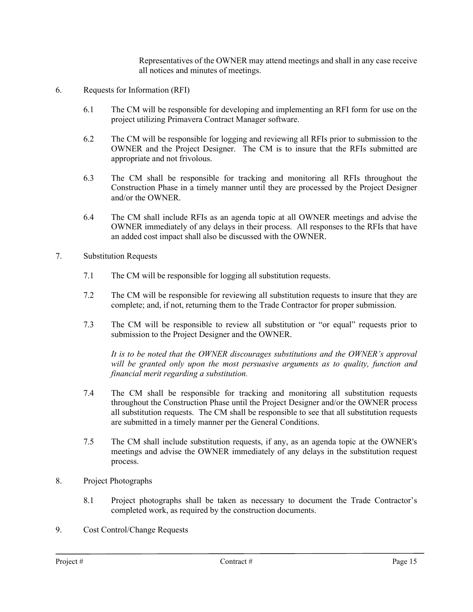Representatives of the OWNER may attend meetings and shall in any case receive all notices and minutes of meetings.

- 6. Requests for Information (RFI)
	- 6.1 The CM will be responsible for developing and implementing an RFI form for use on the project utilizing Primavera Contract Manager software.
	- 6.2 The CM will be responsible for logging and reviewing all RFIs prior to submission to the OWNER and the Project Designer. The CM is to insure that the RFIs submitted are appropriate and not frivolous.
	- 6.3 The CM shall be responsible for tracking and monitoring all RFIs throughout the Construction Phase in a timely manner until they are processed by the Project Designer and/or the OWNER.
	- 6.4 The CM shall include RFIs as an agenda topic at all OWNER meetings and advise the OWNER immediately of any delays in their process. All responses to the RFIs that have an added cost impact shall also be discussed with the OWNER.
- 7. Substitution Requests
	- 7.1 The CM will be responsible for logging all substitution requests.
	- 7.2 The CM will be responsible for reviewing all substitution requests to insure that they are complete; and, if not, returning them to the Trade Contractor for proper submission.
	- 7.3 The CM will be responsible to review all substitution or "or equal" requests prior to submission to the Project Designer and the OWNER.

*It is to be noted that the OWNER discourages substitutions and the OWNER's approval*  will be granted only upon the most persuasive arguments as to quality, function and *financial merit regarding a substitution.*

- 7.4 The CM shall be responsible for tracking and monitoring all substitution requests throughout the Construction Phase until the Project Designer and/or the OWNER process all substitution requests. The CM shall be responsible to see that all substitution requests are submitted in a timely manner per the General Conditions.
- 7.5 The CM shall include substitution requests, if any, as an agenda topic at the OWNER's meetings and advise the OWNER immediately of any delays in the substitution request process.
- 8. Project Photographs
	- 8.1 Project photographs shall be taken as necessary to document the Trade Contractor's completed work, as required by the construction documents.
- 9. Cost Control/Change Requests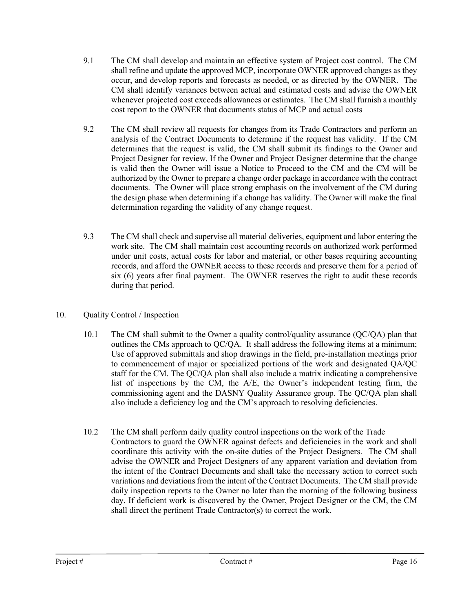- 9.1 The CM shall develop and maintain an effective system of Project cost control. The CM shall refine and update the approved MCP, incorporate OWNER approved changes as they occur, and develop reports and forecasts as needed, or as directed by the OWNER. The CM shall identify variances between actual and estimated costs and advise the OWNER whenever projected cost exceeds allowances or estimates. The CM shall furnish a monthly cost report to the OWNER that documents status of MCP and actual costs
- 9.2 The CM shall review all requests for changes from its Trade Contractors and perform an analysis of the Contract Documents to determine if the request has validity. If the CM determines that the request is valid, the CM shall submit its findings to the Owner and Project Designer for review. If the Owner and Project Designer determine that the change is valid then the Owner will issue a Notice to Proceed to the CM and the CM will be authorized by the Owner to prepare a change order package in accordance with the contract documents. The Owner will place strong emphasis on the involvement of the CM during the design phase when determining if a change has validity. The Owner will make the final determination regarding the validity of any change request.
- 9.3 The CM shall check and supervise all material deliveries, equipment and labor entering the work site. The CM shall maintain cost accounting records on authorized work performed under unit costs, actual costs for labor and material, or other bases requiring accounting records, and afford the OWNER access to these records and preserve them for a period of six (6) years after final payment. The OWNER reserves the right to audit these records during that period.

## 10. Quality Control / Inspection

- 10.1 The CM shall submit to the Owner a quality control/quality assurance (QC/QA) plan that outlines the CMs approach to QC/QA. It shall address the following items at a minimum; Use of approved submittals and shop drawings in the field, pre-installation meetings prior to commencement of major or specialized portions of the work and designated QA/QC staff for the CM. The QC/QA plan shall also include a matrix indicating a comprehensive list of inspections by the CM, the A/E, the Owner's independent testing firm, the commissioning agent and the DASNY Quality Assurance group. The QC/QA plan shall also include a deficiency log and the CM's approach to resolving deficiencies.
- 10.2 The CM shall perform daily quality control inspections on the work of the Trade Contractors to guard the OWNER against defects and deficiencies in the work and shall coordinate this activity with the on-site duties of the Project Designers. The CM shall advise the OWNER and Project Designers of any apparent variation and deviation from the intent of the Contract Documents and shall take the necessary action to correct such variations and deviations from the intent of the Contract Documents. The CM shall provide daily inspection reports to the Owner no later than the morning of the following business day. If deficient work is discovered by the Owner, Project Designer or the CM, the CM shall direct the pertinent Trade Contractor(s) to correct the work.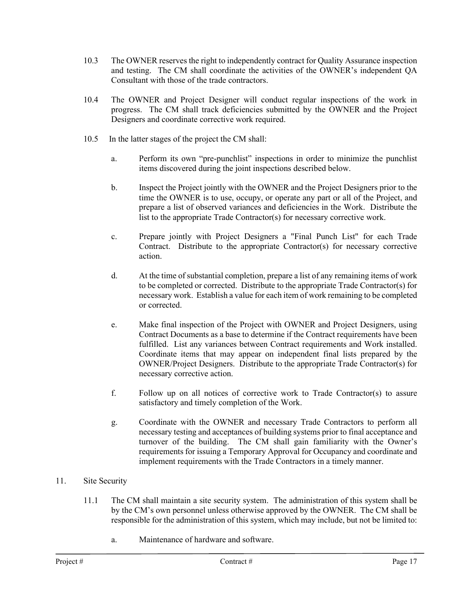- 10.3 The OWNER reserves the right to independently contract for Quality Assurance inspection and testing. The CM shall coordinate the activities of the OWNER's independent QA Consultant with those of the trade contractors.
- 10.4 The OWNER and Project Designer will conduct regular inspections of the work in progress. The CM shall track deficiencies submitted by the OWNER and the Project Designers and coordinate corrective work required.
- 10.5 In the latter stages of the project the CM shall:
	- a. Perform its own "pre-punchlist" inspections in order to minimize the punchlist items discovered during the joint inspections described below.
	- b. Inspect the Project jointly with the OWNER and the Project Designers prior to the time the OWNER is to use, occupy, or operate any part or all of the Project, and prepare a list of observed variances and deficiencies in the Work. Distribute the list to the appropriate Trade Contractor(s) for necessary corrective work.
	- c. Prepare jointly with Project Designers a "Final Punch List" for each Trade Contract. Distribute to the appropriate Contractor(s) for necessary corrective action.
	- d. At the time of substantial completion, prepare a list of any remaining items of work to be completed or corrected. Distribute to the appropriate Trade Contractor(s) for necessary work. Establish a value for each item of work remaining to be completed or corrected.
	- e. Make final inspection of the Project with OWNER and Project Designers, using Contract Documents as a base to determine if the Contract requirements have been fulfilled. List any variances between Contract requirements and Work installed. Coordinate items that may appear on independent final lists prepared by the OWNER/Project Designers. Distribute to the appropriate Trade Contractor(s) for necessary corrective action.
	- f. Follow up on all notices of corrective work to Trade Contractor(s) to assure satisfactory and timely completion of the Work.
	- g. Coordinate with the OWNER and necessary Trade Contractors to perform all necessary testing and acceptances of building systems prior to final acceptance and turnover of the building. The CM shall gain familiarity with the Owner's requirements for issuing a Temporary Approval for Occupancy and coordinate and implement requirements with the Trade Contractors in a timely manner.

## 11. Site Security

- 11.1 The CM shall maintain a site security system. The administration of this system shall be by the CM's own personnel unless otherwise approved by the OWNER. The CM shall be responsible for the administration of this system, which may include, but not be limited to:
	- a. Maintenance of hardware and software.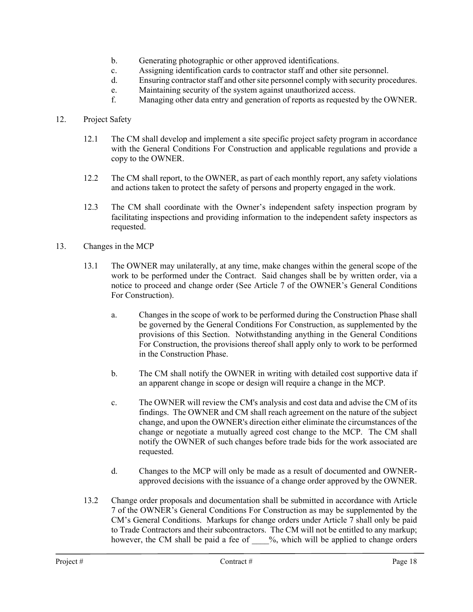- b. Generating photographic or other approved identifications.
- c. Assigning identification cards to contractor staff and other site personnel.
- d. Ensuring contractor staff and other site personnel comply with security procedures.
- e. Maintaining security of the system against unauthorized access.
- f. Managing other data entry and generation of reports as requested by the OWNER.

## 12. Project Safety

- 12.1 The CM shall develop and implement a site specific project safety program in accordance with the General Conditions For Construction and applicable regulations and provide a copy to the OWNER.
- 12.2 The CM shall report, to the OWNER, as part of each monthly report, any safety violations and actions taken to protect the safety of persons and property engaged in the work.
- 12.3 The CM shall coordinate with the Owner's independent safety inspection program by facilitating inspections and providing information to the independent safety inspectors as requested.
- 13. Changes in the MCP
	- 13.1 The OWNER may unilaterally, at any time, make changes within the general scope of the work to be performed under the Contract. Said changes shall be by written order, via a notice to proceed and change order (See Article 7 of the OWNER's General Conditions For Construction).
		- a. Changes in the scope of work to be performed during the Construction Phase shall be governed by the General Conditions For Construction, as supplemented by the provisions of this Section. Notwithstanding anything in the General Conditions For Construction, the provisions thereof shall apply only to work to be performed in the Construction Phase.
		- b. The CM shall notify the OWNER in writing with detailed cost supportive data if an apparent change in scope or design will require a change in the MCP.
		- c. The OWNER will review the CM's analysis and cost data and advise the CM of its findings. The OWNER and CM shall reach agreement on the nature of the subject change, and upon the OWNER's direction either eliminate the circumstances of the change or negotiate a mutually agreed cost change to the MCP. The CM shall notify the OWNER of such changes before trade bids for the work associated are requested.
		- d. Changes to the MCP will only be made as a result of documented and OWNERapproved decisions with the issuance of a change order approved by the OWNER.
	- 13.2 Change order proposals and documentation shall be submitted in accordance with Article 7 of the OWNER's General Conditions For Construction as may be supplemented by the CM's General Conditions. Markups for change orders under Article 7 shall only be paid to Trade Contractors and their subcontractors. The CM will not be entitled to any markup; however, the CM shall be paid a fee of  $\%$ , which will be applied to change orders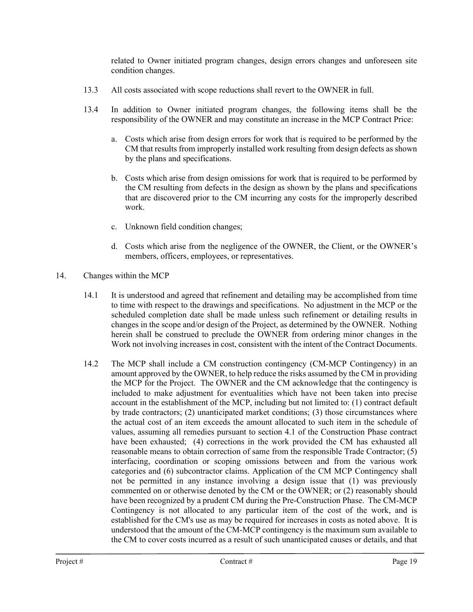related to Owner initiated program changes, design errors changes and unforeseen site condition changes.

- 13.3 All costs associated with scope reductions shall revert to the OWNER in full.
- 13.4 In addition to Owner initiated program changes, the following items shall be the responsibility of the OWNER and may constitute an increase in the MCP Contract Price:
	- a. Costs which arise from design errors for work that is required to be performed by the CM that results from improperly installed work resulting from design defects as shown by the plans and specifications.
	- b. Costs which arise from design omissions for work that is required to be performed by the CM resulting from defects in the design as shown by the plans and specifications that are discovered prior to the CM incurring any costs for the improperly described work.
	- c. Unknown field condition changes;
	- d. Costs which arise from the negligence of the OWNER, the Client, or the OWNER's members, officers, employees, or representatives.
- 14. Changes within the MCP
	- 14.1 It is understood and agreed that refinement and detailing may be accomplished from time to time with respect to the drawings and specifications. No adjustment in the MCP or the scheduled completion date shall be made unless such refinement or detailing results in changes in the scope and/or design of the Project, as determined by the OWNER. Nothing herein shall be construed to preclude the OWNER from ordering minor changes in the Work not involving increases in cost, consistent with the intent of the Contract Documents.
	- 14.2 The MCP shall include a CM construction contingency (CM-MCP Contingency) in an amount approved by the OWNER, to help reduce the risks assumed by the CM in providing the MCP for the Project. The OWNER and the CM acknowledge that the contingency is included to make adjustment for eventualities which have not been taken into precise account in the establishment of the MCP, including but not limited to: (1) contract default by trade contractors; (2) unanticipated market conditions; (3) those circumstances where the actual cost of an item exceeds the amount allocated to such item in the schedule of values, assuming all remedies pursuant to section 4.1 of the Construction Phase contract have been exhausted; (4) corrections in the work provided the CM has exhausted all reasonable means to obtain correction of same from the responsible Trade Contractor; (5) interfacing, coordination or scoping omissions between and from the various work categories and (6) subcontractor claims. Application of the CM MCP Contingency shall not be permitted in any instance involving a design issue that (1) was previously commented on or otherwise denoted by the CM or the OWNER; or (2) reasonably should have been recognized by a prudent CM during the Pre-Construction Phase. The CM-MCP Contingency is not allocated to any particular item of the cost of the work, and is established for the CM's use as may be required for increases in costs as noted above. It is understood that the amount of the CM-MCP contingency is the maximum sum available to the CM to cover costs incurred as a result of such unanticipated causes or details, and that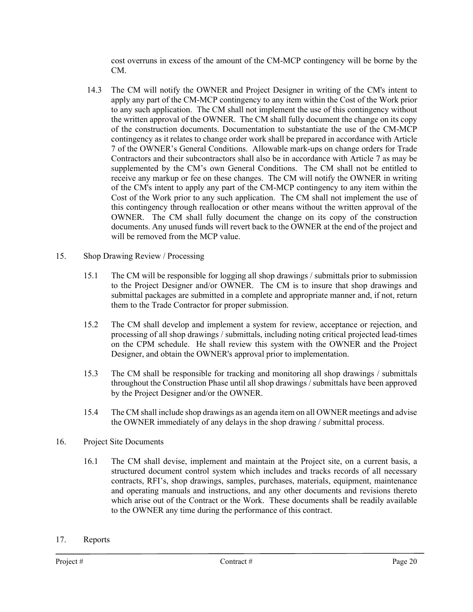cost overruns in excess of the amount of the CM-MCP contingency will be borne by the CM.

- 14.3 The CM will notify the OWNER and Project Designer in writing of the CM's intent to apply any part of the CM-MCP contingency to any item within the Cost of the Work prior to any such application. The CM shall not implement the use of this contingency without the written approval of the OWNER. The CM shall fully document the change on its copy of the construction documents. Documentation to substantiate the use of the CM-MCP contingency as it relates to change order work shall be prepared in accordance with Article 7 of the OWNER's General Conditions. Allowable mark-ups on change orders for Trade Contractors and their subcontractors shall also be in accordance with Article 7 as may be supplemented by the CM's own General Conditions. The CM shall not be entitled to receive any markup or fee on these changes. The CM will notify the OWNER in writing of the CM's intent to apply any part of the CM-MCP contingency to any item within the Cost of the Work prior to any such application. The CM shall not implement the use of this contingency through reallocation or other means without the written approval of the OWNER. The CM shall fully document the change on its copy of the construction documents. Any unused funds will revert back to the OWNER at the end of the project and will be removed from the MCP value.
- 15. Shop Drawing Review / Processing
	- 15.1 The CM will be responsible for logging all shop drawings / submittals prior to submission to the Project Designer and/or OWNER. The CM is to insure that shop drawings and submittal packages are submitted in a complete and appropriate manner and, if not, return them to the Trade Contractor for proper submission.
	- 15.2 The CM shall develop and implement a system for review, acceptance or rejection, and processing of all shop drawings / submittals, including noting critical projected lead-times on the CPM schedule. He shall review this system with the OWNER and the Project Designer, and obtain the OWNER's approval prior to implementation.
	- 15.3 The CM shall be responsible for tracking and monitoring all shop drawings / submittals throughout the Construction Phase until all shop drawings / submittals have been approved by the Project Designer and/or the OWNER.
	- 15.4 The CM shall include shop drawings as an agenda item on all OWNER meetings and advise the OWNER immediately of any delays in the shop drawing / submittal process.
- 16. Project Site Documents
	- 16.1 The CM shall devise, implement and maintain at the Project site, on a current basis, a structured document control system which includes and tracks records of all necessary contracts, RFI's, shop drawings, samples, purchases, materials, equipment, maintenance and operating manuals and instructions, and any other documents and revisions thereto which arise out of the Contract or the Work. These documents shall be readily available to the OWNER any time during the performance of this contract.
- 17. Reports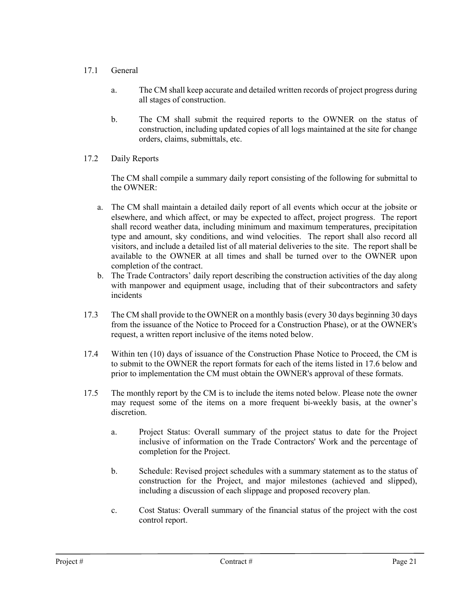## 17.1 General

- a. The CM shall keep accurate and detailed written records of project progress during all stages of construction.
- b. The CM shall submit the required reports to the OWNER on the status of construction, including updated copies of all logs maintained at the site for change orders, claims, submittals, etc.
- 17.2 Daily Reports

The CM shall compile a summary daily report consisting of the following for submittal to the OWNER:

- a. The CM shall maintain a detailed daily report of all events which occur at the jobsite or elsewhere, and which affect, or may be expected to affect, project progress. The report shall record weather data, including minimum and maximum temperatures, precipitation type and amount, sky conditions, and wind velocities. The report shall also record all visitors, and include a detailed list of all material deliveries to the site. The report shall be available to the OWNER at all times and shall be turned over to the OWNER upon completion of the contract.
- b. The Trade Contractors' daily report describing the construction activities of the day along with manpower and equipment usage, including that of their subcontractors and safety incidents
- 17.3 The CM shall provide to the OWNER on a monthly basis (every 30 days beginning 30 days from the issuance of the Notice to Proceed for a Construction Phase), or at the OWNER's request, a written report inclusive of the items noted below.
- 17.4 Within ten (10) days of issuance of the Construction Phase Notice to Proceed, the CM is to submit to the OWNER the report formats for each of the items listed in 17.6 below and prior to implementation the CM must obtain the OWNER's approval of these formats.
- 17.5 The monthly report by the CM is to include the items noted below. Please note the owner may request some of the items on a more frequent bi-weekly basis, at the owner's discretion.
	- a. Project Status: Overall summary of the project status to date for the Project inclusive of information on the Trade Contractors' Work and the percentage of completion for the Project.
	- b. Schedule: Revised project schedules with a summary statement as to the status of construction for the Project, and major milestones (achieved and slipped), including a discussion of each slippage and proposed recovery plan.
	- c. Cost Status: Overall summary of the financial status of the project with the cost control report.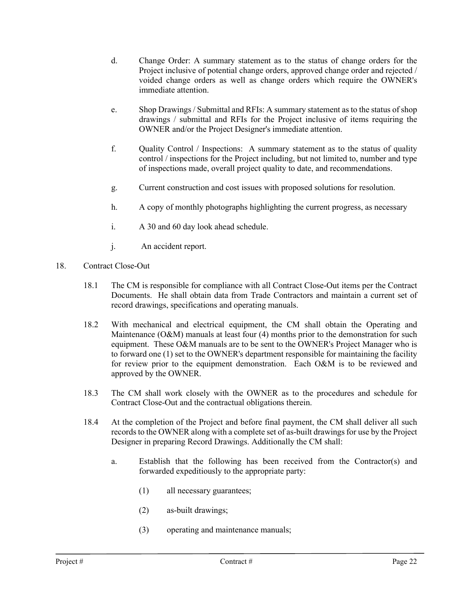- d. Change Order: A summary statement as to the status of change orders for the Project inclusive of potential change orders, approved change order and rejected / voided change orders as well as change orders which require the OWNER's immediate attention.
- e. Shop Drawings / Submittal and RFIs: A summary statement as to the status of shop drawings / submittal and RFIs for the Project inclusive of items requiring the OWNER and/or the Project Designer's immediate attention.
- f. Quality Control / Inspections: A summary statement as to the status of quality control / inspections for the Project including, but not limited to, number and type of inspections made, overall project quality to date, and recommendations.
- g. Current construction and cost issues with proposed solutions for resolution.
- h. A copy of monthly photographs highlighting the current progress, as necessary
- i. A 30 and 60 day look ahead schedule.
- j. An accident report.
- 18. Contract Close-Out
	- 18.1 The CM is responsible for compliance with all Contract Close-Out items per the Contract Documents. He shall obtain data from Trade Contractors and maintain a current set of record drawings, specifications and operating manuals.
	- 18.2 With mechanical and electrical equipment, the CM shall obtain the Operating and Maintenance (O&M) manuals at least four (4) months prior to the demonstration for such equipment. These O&M manuals are to be sent to the OWNER's Project Manager who is to forward one (1) set to the OWNER's department responsible for maintaining the facility for review prior to the equipment demonstration. Each O&M is to be reviewed and approved by the OWNER.
	- 18.3 The CM shall work closely with the OWNER as to the procedures and schedule for Contract Close-Out and the contractual obligations therein.
	- 18.4 At the completion of the Project and before final payment, the CM shall deliver all such records to the OWNER along with a complete set of as-built drawings for use by the Project Designer in preparing Record Drawings. Additionally the CM shall:
		- a. Establish that the following has been received from the Contractor(s) and forwarded expeditiously to the appropriate party:
			- (1) all necessary guarantees;
			- (2) as-built drawings;
			- (3) operating and maintenance manuals;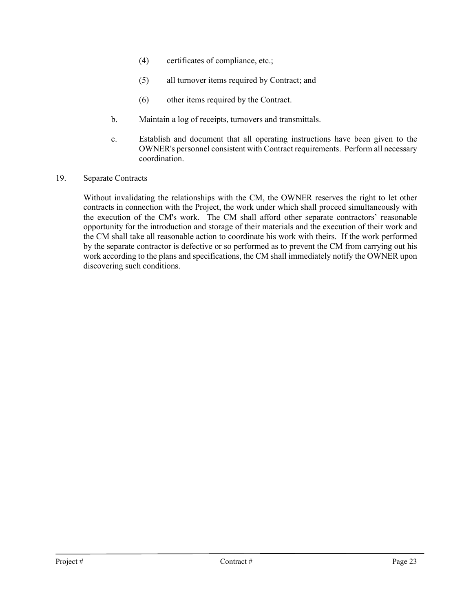- (4) certificates of compliance, etc.;
- (5) all turnover items required by Contract; and
- (6) other items required by the Contract.
- b. Maintain a log of receipts, turnovers and transmittals.
- c. Establish and document that all operating instructions have been given to the OWNER's personnel consistent with Contract requirements. Perform all necessary coordination.
- 19. Separate Contracts

Without invalidating the relationships with the CM, the OWNER reserves the right to let other contracts in connection with the Project, the work under which shall proceed simultaneously with the execution of the CM's work. The CM shall afford other separate contractors' reasonable opportunity for the introduction and storage of their materials and the execution of their work and the CM shall take all reasonable action to coordinate his work with theirs. If the work performed by the separate contractor is defective or so performed as to prevent the CM from carrying out his work according to the plans and specifications, the CM shall immediately notify the OWNER upon discovering such conditions.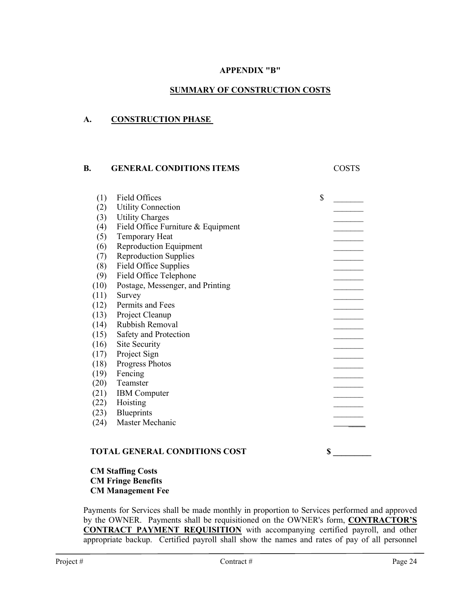## **APPENDIX "B"**

### **SUMMARY OF CONSTRUCTION COSTS**

### **A. CONSTRUCTION PHASE**

#### **B.** GENERAL CONDITIONS ITEMS COSTS

| (1)  | Field Offices                      | \$ |
|------|------------------------------------|----|
| (2)  | <b>Utility Connection</b>          |    |
| (3)  | <b>Utility Charges</b>             |    |
| (4)  | Field Office Furniture & Equipment |    |
| (5)  | Temporary Heat                     |    |
| (6)  | <b>Reproduction Equipment</b>      |    |
| (7)  | <b>Reproduction Supplies</b>       |    |
| (8)  | Field Office Supplies              |    |
| (9)  | Field Office Telephone             |    |
| (10) | Postage, Messenger, and Printing   |    |
| (11) | Survey                             |    |
| (12) | Permits and Fees                   |    |
| (13) | Project Cleanup                    |    |
| (14) | Rubbish Removal                    |    |
| (15) | Safety and Protection              |    |
| (16) | Site Security                      |    |
| (17) | Project Sign                       |    |
| (18) | Progress Photos                    |    |
| (19) | Fencing                            |    |
| (20) | Teamster                           |    |
| (21) | <b>IBM</b> Computer                |    |
| (22) | Hoisting                           |    |
| (23) | <b>Blueprints</b>                  |    |
| (24) | Master Mechanic                    |    |
|      |                                    |    |
|      |                                    |    |

### TOTAL GENERAL CONDITIONS COST  $\qquad \qquad$  \$

### **CM Staffing Costs CM Fringe Benefits CM Management Fee**

Payments for Services shall be made monthly in proportion to Services performed and approved by the OWNER. Payments shall be requisitioned on the OWNER's form, **CONTRACTOR'S CONTRACT PAYMENT REQUISITION** with accompanying certified payroll, and other appropriate backup. Certified payroll shall show the names and rates of pay of all personnel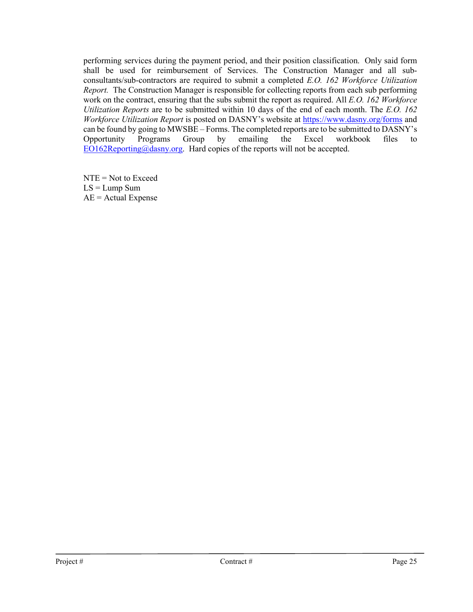performing services during the payment period, and their position classification. Only said form shall be used for reimbursement of Services. The Construction Manager and all subconsultants/sub-contractors are required to submit a completed *E.O. 162 Workforce Utilization Report.* The Construction Manager is responsible for collecting reports from each sub performing work on the contract, ensuring that the subs submit the report as required. All *E.O. 162 Workforce Utilization Reports* are to be submitted within 10 days of the end of each month. The *E.O. 162 Workforce Utilization Report* is posted on DASNY's website at [https://www.dasny.org/forms](https://nam02.safelinks.protection.outlook.com/?url=https%3A%2F%2Fwww.dasny.org%2Fforms&data=04%7C01%7CKMallard%40dasny.org%7Cf58861aa5a2749ecdbf608d8ea3e5d4b%7C886b09f58d684ba88fafccc214b01239%7C0%7C0%7C637516900862077847%7CUnknown%7CTWFpbGZsb3d8eyJWIjoiMC4wLjAwMDAiLCJQIjoiV2luMzIiLCJBTiI6Ik1haWwiLCJXVCI6Mn0%3D%7C1000&sdata=b8B6VU%2F2JfStwmnlGicL7Rd1dTKt%2BnlIoahL9LeDMrY%3D&reserved=0) and can be found by going to MWSBE – Forms. The completed reports are to be submitted to DASNY's<br>Opportunity Programs Group by emailing the Excel workbook files to Opportunity Programs Group by emailing the Excel workbook files to  $EO162$ Reporting@dasny.org. Hard copies of the reports will not be accepted.

NTE = Not to Exceed  $LS = Lump$  Sum  $AE =$  Actual Expense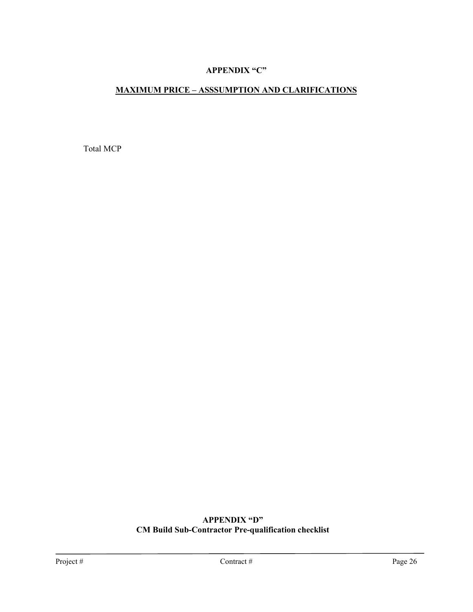## **APPENDIX "C"**

# **MAXIMUM PRICE – ASSSUMPTION AND CLARIFICATIONS**

Total MCP

# **APPENDIX "D" CM Build Sub-Contractor Pre-qualification checklist**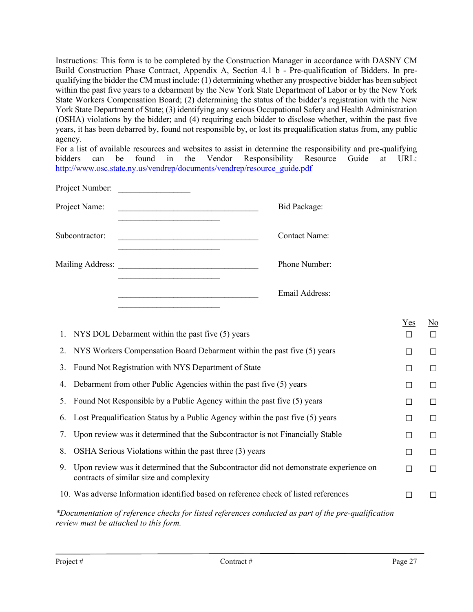Instructions: This form is to be completed by the Construction Manager in accordance with DASNY CM Build Construction Phase Contract, Appendix A, Section 4.1 b - Pre-qualification of Bidders. In prequalifying the bidder the CM must include: (1) determining whether any prospective bidder has been subject within the past five years to a debarment by the New York State Department of Labor or by the New York State Workers Compensation Board; (2) determining the status of the bidder's registration with the New York State Department of State; (3) identifying any serious Occupational Safety and Health Administration (OSHA) violations by the bidder; and (4) requiring each bidder to disclose whether, within the past five years, it has been debarred by, found not responsible by, or lost its prequalification status from, any public agency.

For a list of available resources and websites to assist in determine the responsibility and pre-qualifying bidders can be found in the Vendor Responsibility Resource Guide at URL: [http://www.osc.state.ny.us/vendrep/documents/vendrep/resource\\_guide.pdf](http://www.osc.state.ny.us/vendrep/documents/vendrep/resource_guide.pdf)

| Project Number:  |  |                      |
|------------------|--|----------------------|
| Project Name:    |  | <b>Bid Package:</b>  |
| Subcontractor:   |  | <b>Contact Name:</b> |
| Mailing Address: |  | Phone Number:        |
|                  |  | Email Address:       |

|    |                                                                                                                                                     | Yes    | $\underline{\mathrm{No}}$ |
|----|-----------------------------------------------------------------------------------------------------------------------------------------------------|--------|---------------------------|
|    | 1. NYS DOL Debarment within the past five (5) years                                                                                                 | П      | $\Box$                    |
|    | 2. NYS Workers Compensation Board Debarment within the past five (5) years                                                                          | П      | □                         |
| 3. | Found Not Registration with NYS Department of State                                                                                                 | □      | □                         |
| 4. | Debarment from other Public Agencies within the past five (5) years                                                                                 | □      | □                         |
| 5. | Found Not Responsible by a Public Agency within the past five (5) years                                                                             | П      | П                         |
| 6. | Lost Prequalification Status by a Public Agency within the past five (5) years                                                                      | П      | $\Box$                    |
| 7. | Upon review was it determined that the Subcontractor is not Financially Stable                                                                      | П      | П                         |
| 8. | OSHA Serious Violations within the past three (3) years                                                                                             | П      | $\Box$                    |
|    | 9. Upon review was it determined that the Subcontractor did not demonstrate experience on<br>contracts of similar size and complexity               | $\Box$ | П                         |
|    | 10. Was adverse Information identified based on reference check of listed references                                                                | П      | $\Box$                    |
|    | *Documentation of reference checks for listed references conducted as part of the pre-qualification<br><i>review must be attached to this form.</i> |        |                           |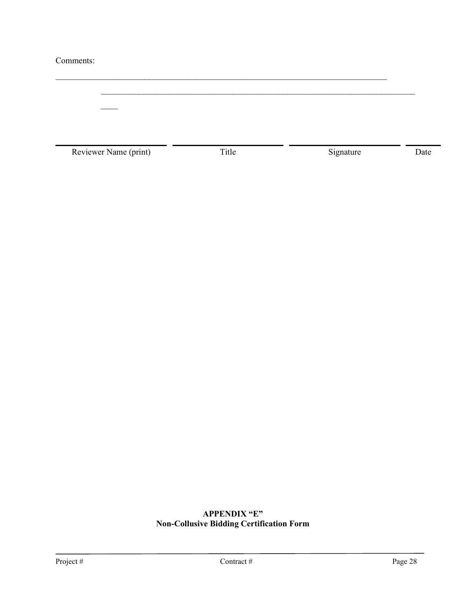### Comments:

 $\mathcal{L}_\text{max}$  and  $\mathcal{L}_\text{max}$  and  $\mathcal{L}_\text{max}$  and  $\mathcal{L}_\text{max}$  and  $\mathcal{L}_\text{max}$  and  $\mathcal{L}_\text{max}$  $\overline{\phantom{a}}$ Reviewer Name (print) Title Signature Date

 $\mathcal{L}_\text{max}$  , and the contribution of the contribution of the contribution of the contribution of the contribution of the contribution of the contribution of the contribution of the contribution of the contribution of t

# **APPENDIX "E" Non-Collusive Bidding Certification Form**